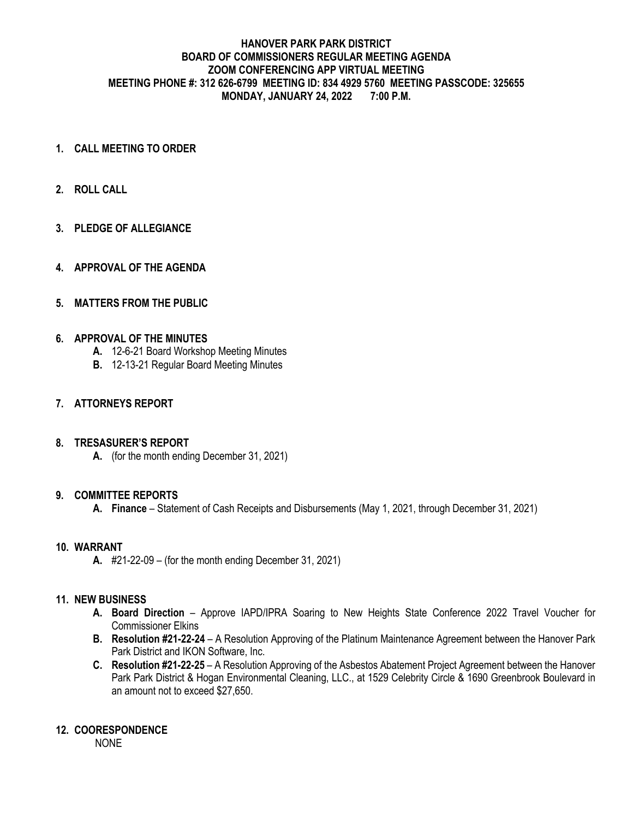#### **HANOVER PARK PARK DISTRICT BOARD OF COMMISSIONERS REGULAR MEETING AGENDA ZOOM CONFERENCING APP VIRTUAL MEETING MEETING PHONE #: 312 626-6799 MEETING ID: 834 4929 5760 MEETING PASSCODE: 325655 MONDAY, JANUARY 24, 2022 7:00 P.M.**

- **1. CALL MEETING TO ORDER**
- **2. ROLL CALL**
- **3. PLEDGE OF ALLEGIANCE**
- **4. APPROVAL OF THE AGENDA**

## **5. MATTERS FROM THE PUBLIC**

## **6. APPROVAL OF THE MINUTES**

- **A.** 12-6-21 Board Workshop Meeting Minutes
- **B.** 12-13-21 Regular Board Meeting Minutes

## **7. ATTORNEYS REPORT**

#### **8. TRESASURER'S REPORT**

**A.** (for the month ending December 31, 2021)

#### **9. COMMITTEE REPORTS**

**A. Finance** – Statement of Cash Receipts and Disbursements (May 1, 2021, through December 31, 2021)

#### **10. WARRANT**

**A.** #21-22-09 – (for the month ending December 31, 2021)

## **11. NEW BUSINESS**

- **A. Board Direction** Approve IAPD/IPRA Soaring to New Heights State Conference 2022 Travel Voucher for Commissioner Elkins
- **B. Resolution #21-22-24** A Resolution Approving of the Platinum Maintenance Agreement between the Hanover Park Park District and IKON Software, Inc.
- **C. Resolution #21-22-25** A Resolution Approving of the Asbestos Abatement Project Agreement between the Hanover Park Park District & Hogan Environmental Cleaning, LLC., at 1529 Celebrity Circle & 1690 Greenbrook Boulevard in an amount not to exceed \$27,650.

#### **12. COORESPONDENCE**

NONE